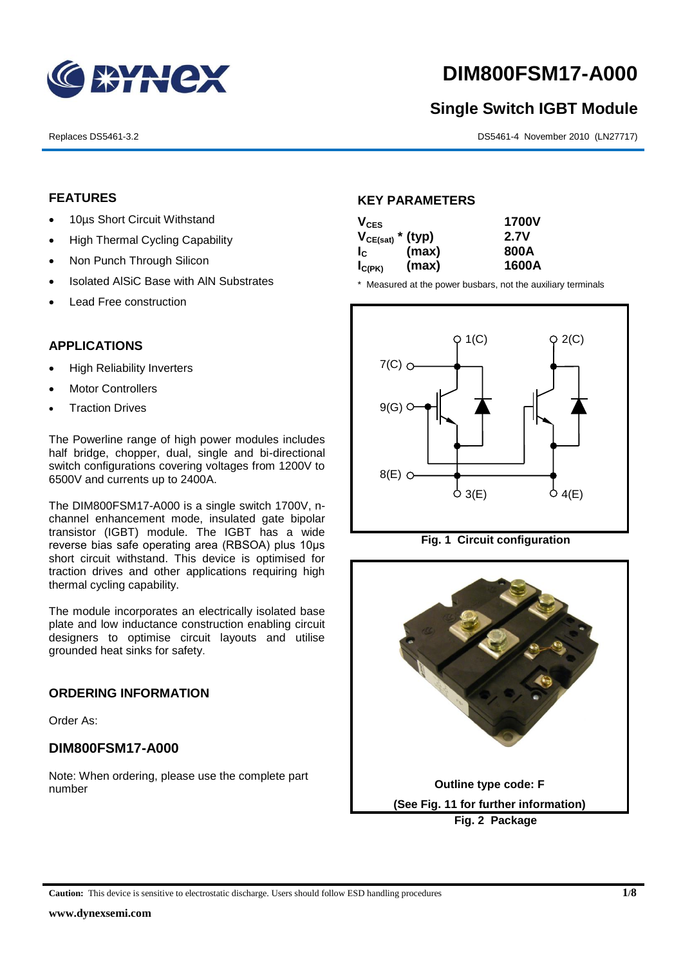

# **DIM800FSM17-A000**

# **Single Switch IGBT Module**

Replaces DS5461-3.2 DS5461-4 November 2010 (LN27717)

#### **FEATURES**

- 10µs Short Circuit Withstand
- High Thermal Cycling Capability
- Non Punch Through Silicon
- Isolated AISiC Base with AIN Substrates
- Lead Free construction

## **APPLICATIONS**

- High Reliability Inverters
- Motor Controllers
- Traction Drives

The Powerline range of high power modules includes half bridge, chopper, dual, single and bi-directional switch configurations covering voltages from 1200V to 6500V and currents up to 2400A.

The DIM800FSM17-A000 is a single switch 1700V, nchannel enhancement mode, insulated gate bipolar transistor (IGBT) module. The IGBT has a wide reverse bias safe operating area (RBSOA) plus 10μs short circuit withstand. This device is optimised for traction drives and other applications requiring high thermal cycling capability.

The module incorporates an electrically isolated base plate and low inductance construction enabling circuit designers to optimise circuit layouts and utilise grounded heat sinks for safety.

#### **ORDERING INFORMATION**

Order As:

## **DIM800FSM17-A000**

Note: When ordering, please use the complete part number

#### **KEY PARAMETERS**

| $V_{CES}$             |       | <b>1700V</b> |
|-----------------------|-------|--------------|
| $V_{CE(sat)}$ * (typ) |       | 2.7V         |
| $I_{\rm C}$           | (max) | 800A         |
| $I_{C(PK)}$           | (max) | 1600A        |

\* Measured at the power busbars, not the auxiliary terminals





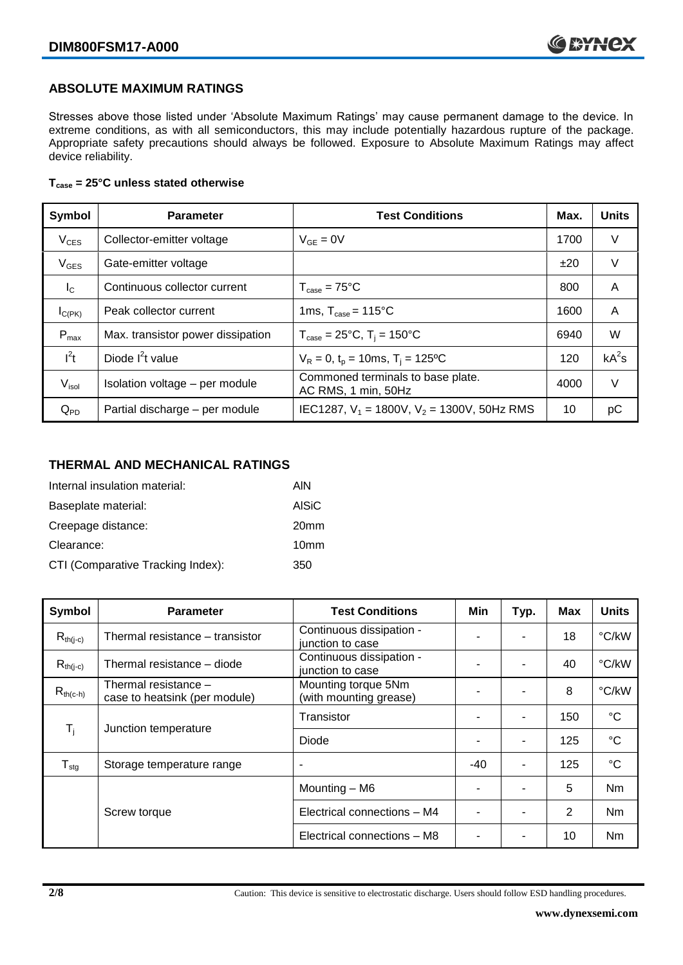## **ABSOLUTE MAXIMUM RATINGS**

Stresses above those listed under 'Absolute Maximum Ratings' may cause permanent damage to the device. In extreme conditions, as with all semiconductors, this may include potentially hazardous rupture of the package. Appropriate safety precautions should always be followed. Exposure to Absolute Maximum Ratings may affect device reliability.

#### **Tcase = 25°C unless stated otherwise**

| Symbol            | <b>Parameter</b>                  | <b>Test Conditions</b>                                   |      | <b>Units</b> |
|-------------------|-----------------------------------|----------------------------------------------------------|------|--------------|
| $V_{CES}$         | Collector-emitter voltage         | $V_{GF} = 0V$                                            | 1700 | V            |
| $V_{GES}$         | Gate-emitter voltage              |                                                          | ±20  | V            |
| $I_{\rm C}$       | Continuous collector current      | $T_{\text{case}} = 75^{\circ}C$                          | 800  | A            |
| $I_{C(PK)}$       | Peak collector current            | 1ms, $T_{\text{case}} = 115^{\circ}$ C                   | 1600 | A            |
| $P_{\text{max}}$  | Max. transistor power dissipation | $T_{\text{case}} = 25^{\circ}C$ , $T_i = 150^{\circ}C$   | 6940 | W            |
| $I^2t$            | Diode $I^2t$ value                | $V_R = 0$ , $t_p = 10$ ms, $T_i = 125$ °C                | 120  | $kA^2s$      |
| V <sub>isol</sub> | Isolation voltage - per module    | Commoned terminals to base plate.<br>AC RMS, 1 min, 50Hz | 4000 | V            |
| $Q_{PD}$          | Partial discharge - per module    | IEC1287, $V_1$ = 1800V, $V_2$ = 1300V, 50Hz RMS          | 10   | рC           |

#### **THERMAL AND MECHANICAL RATINGS**

| Internal insulation material:     | AIN              |
|-----------------------------------|------------------|
| Baseplate material:               | <b>AISiC</b>     |
| Creepage distance:                | 20 <sub>mm</sub> |
| Clearance:                        | 10 <sub>mm</sub> |
| CTI (Comparative Tracking Index): | 350              |

| Symbol           | <b>Parameter</b>                                      | <b>Test Conditions</b>                        | Min   | Typ. | Max            | <b>Units</b>    |
|------------------|-------------------------------------------------------|-----------------------------------------------|-------|------|----------------|-----------------|
| $R_{th(j-c)}$    | Thermal resistance - transistor                       | Continuous dissipation -<br>junction to case  |       |      | 18             | °C/kW           |
| $R_{th(i-c)}$    | Thermal resistance - diode                            | Continuous dissipation -<br>junction to case  |       |      | 40             | °C/kW           |
| $R_{th(c-h)}$    | Thermal resistance -<br>case to heatsink (per module) | Mounting torque 5Nm<br>(with mounting grease) |       |      | 8              | °C/kW           |
| $T_i$            | Junction temperature                                  | Transistor                                    |       | ۰    | 150            | $\rm ^{\circ}C$ |
|                  |                                                       | Diode                                         |       |      | 125            | $\rm ^{\circ}C$ |
| $T_{\text{stg}}$ | Storage temperature range                             | $\overline{\phantom{a}}$                      | $-40$ |      | 125            | $^{\circ}C$     |
|                  |                                                       | Mounting - M6                                 |       |      | 5              | <b>Nm</b>       |
|                  | Screw torque                                          | Electrical connections - M4                   |       |      | $\overline{2}$ | N <sub>m</sub>  |
|                  |                                                       | Electrical connections - M8                   |       |      | 10             | <b>Nm</b>       |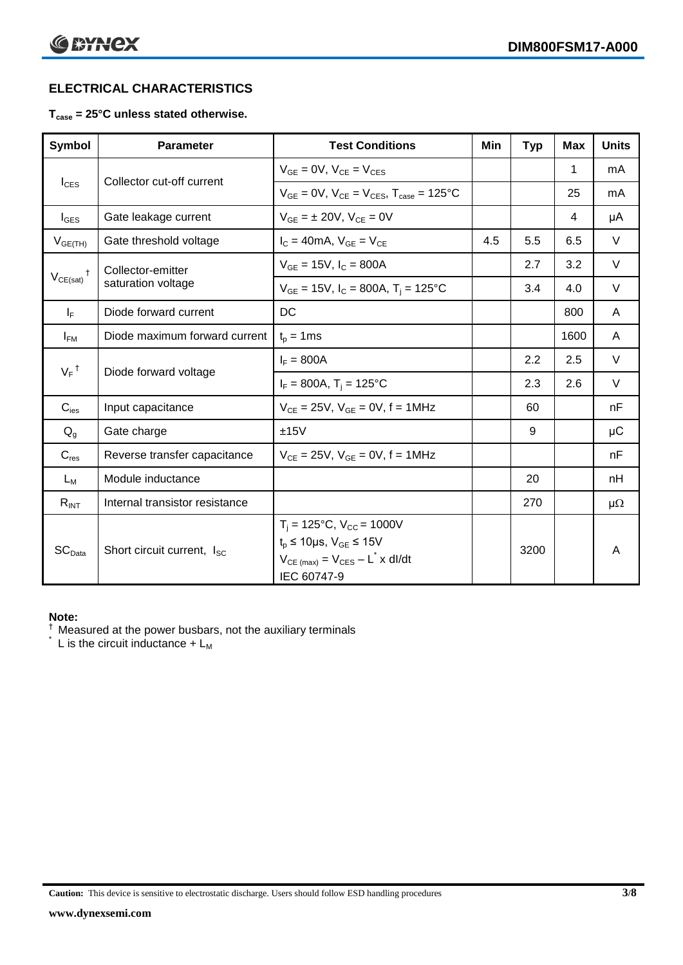# **ELECTRICAL CHARACTERISTICS**

#### **Tcase = 25°C unless stated otherwise.**

| Symbol             | <b>Parameter</b>                       | <b>Test Conditions</b>                                                                                                                           | Min | <b>Typ</b> | <b>Max</b> | <b>Units</b> |
|--------------------|----------------------------------------|--------------------------------------------------------------------------------------------------------------------------------------------------|-----|------------|------------|--------------|
|                    | Collector cut-off current              | $V_{GE} = 0V$ , $V_{CE} = V_{CES}$                                                                                                               |     |            | 1          | mA           |
| $I_{CES}$          |                                        | $V_{CF} = 0V$ , $V_{CF} = V_{CES}$ , $T_{case} = 125^{\circ}C$                                                                                   |     |            | 25         | mA           |
| $I_{\text{GES}}$   | Gate leakage current                   | $V_{GF} = \pm 20V$ , $V_{CE} = 0V$                                                                                                               |     |            | 4          | μA           |
| $V_{GE(TH)}$       | Gate threshold voltage                 | $I_C = 40mA$ , $V_{GF} = V_{CF}$                                                                                                                 | 4.5 | 5.5        | 6.5        | $\vee$       |
|                    | Collector-emitter                      | $V_{GE} = 15V$ , $I_C = 800A$                                                                                                                    |     | 2.7        | 3.2        | $\vee$       |
| $V_{CE(sat)}$      | saturation voltage                     | $V_{GE}$ = 15V, $I_C$ = 800A, T <sub>i</sub> = 125°C                                                                                             |     | 3.4        | 4.0        | $\vee$       |
| $I_F$              | Diode forward current                  | DC                                                                                                                                               |     |            | 800        | A            |
| $I_{FM}$           | Diode maximum forward current          | $t_p = 1$ ms                                                                                                                                     |     |            | 1600       | A            |
| $V_F$ <sup>†</sup> | Diode forward voltage                  | $I_F = 800A$                                                                                                                                     |     | 2.2        | 2.5        | $\vee$       |
|                    |                                        | $I_F = 800A$ , $T_i = 125^{\circ}C$                                                                                                              |     | 2.3        | 2.6        | $\vee$       |
| $C_{\text{ies}}$   | Input capacitance                      | $V_{CF} = 25V$ , $V_{GF} = 0V$ , f = 1MHz                                                                                                        |     | 60         |            | nF           |
| $Q_g$              | Gate charge                            | ±15V                                                                                                                                             |     | 9          |            | μC           |
| $C_{res}$          | Reverse transfer capacitance           | $V_{CE} = 25V$ , $V_{GE} = 0V$ , f = 1MHz                                                                                                        |     |            |            | nF           |
| $L_M$              | Module inductance                      |                                                                                                                                                  |     | 20         |            | nH           |
| $R_{INT}$          | Internal transistor resistance         |                                                                                                                                                  |     | 270        |            | $\mu\Omega$  |
| SC <sub>Data</sub> | Short circuit current, I <sub>SC</sub> | $T_i = 125$ °C, $V_{CC} = 1000V$<br>$t_p \le 10 \mu s$ , $V_{GE} \le 15 V$<br>$V_{CE \text{ (max)}} = V_{CES} - L^* \times dl/dt$<br>IEC 60747-9 |     | 3200       |            | A            |

#### **Note:**

 $\dagger$  Measured at the power busbars, not the auxiliary terminals

 $\check{}$  L is the circuit inductance +  $L_M$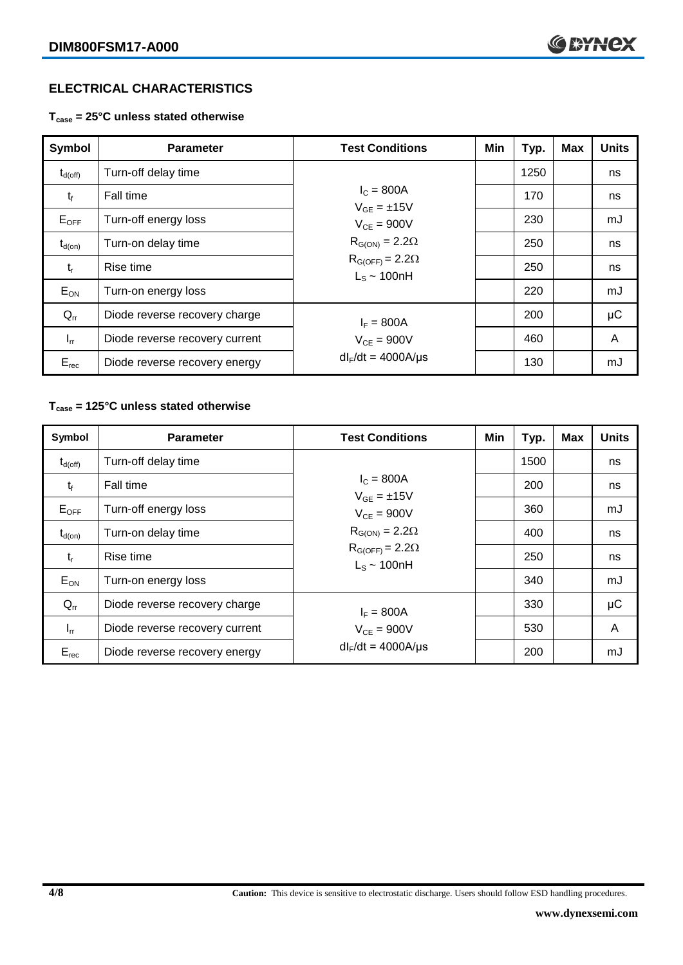# **ELECTRICAL CHARACTERISTICS**

**Tcase = 25°C unless stated otherwise**

| Symbol              | <b>Parameter</b>                              | <b>Test Conditions</b>                       | Min | Typ. | <b>Max</b> | <b>Units</b> |
|---------------------|-----------------------------------------------|----------------------------------------------|-----|------|------------|--------------|
| $t_{d(\text{off})}$ | Turn-off delay time                           |                                              |     | 1250 |            | ns           |
| $t_{f}$             | Fall time                                     | $I_c = 800A$<br>$V_{GF} = \pm 15V$           |     | 170  |            | ns           |
| $E_{\mathsf{OFF}}$  | Turn-off energy loss                          | $V_{CF} = 900V$                              |     | 230  |            | mJ           |
| $t_{d(on)}$         | Turn-on delay time                            | $R_{G(ON)} = 2.2\Omega$                      |     | 250  |            | ns           |
| $t_{r}$             | Rise time                                     | $R_{G(OFF)} = 2.2\Omega$<br>$L_s \sim 100hH$ |     | 250  |            | ns           |
| $E_{ON}$            | Turn-on energy loss                           |                                              |     | 220  |            | mJ           |
| $Q_{rr}$            | Diode reverse recovery charge<br>$I_F = 800A$ |                                              |     | 200  |            | μC           |
| $I_{rr}$            | Diode reverse recovery current                | $V_{CE}$ = 900V                              |     | 460  |            | A            |
| $E_{rec}$           | Diode reverse recovery energy                 | $dl_F/dt = 4000A/\mu s$                      |     | 130  |            | mJ           |

#### **Tcase = 125°C unless stated otherwise**

| Symbol              | <b>Parameter</b>               | <b>Test Conditions</b>                                                  | Min | Typ. | <b>Max</b> | <b>Units</b> |
|---------------------|--------------------------------|-------------------------------------------------------------------------|-----|------|------------|--------------|
| $t_{d(\text{off})}$ | Turn-off delay time            |                                                                         |     | 1500 |            | ns           |
| $t_{f}$             | Fall time                      | $I_{C} = 800A$<br>$V_{GF} = \pm 15V$                                    |     | 200  |            | ns           |
| $E_{OFF}$           | Turn-off energy loss           | $V_{CF} = 900V$                                                         |     | 360  |            | mJ           |
| $t_{d(on)}$         | Turn-on delay time             | $R_{G(ON)} = 2.2\Omega$<br>$R_{G(OFF)} = 2.2\Omega$<br>$L_s \sim 100nH$ |     | 400  |            | ns           |
| $t_{r}$             | Rise time                      |                                                                         |     | 250  |            | ns           |
| $E_{ON}$            | Turn-on energy loss            |                                                                         |     | 340  |            | mJ           |
| $Q_{rr}$            | Diode reverse recovery charge  | $I_F = 800A$                                                            |     | 330  |            | μC           |
| $I_{rr}$            | Diode reverse recovery current | $V_{CF} = 900V$                                                         |     | 530  |            | A            |
| $E_{rec}$           | Diode reverse recovery energy  | $dl_F/dt = 4000A/\mu s$                                                 |     | 200  |            | mJ           |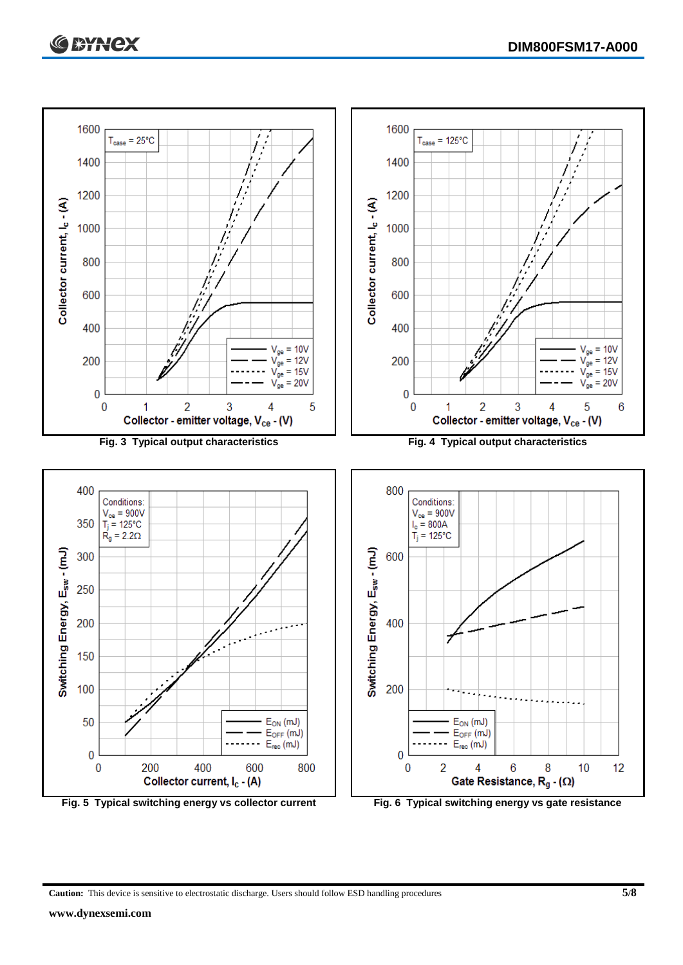

**Caution:** This device is sensitive to electrostatic discharge. Users should follow ESD handling procedures **5/8**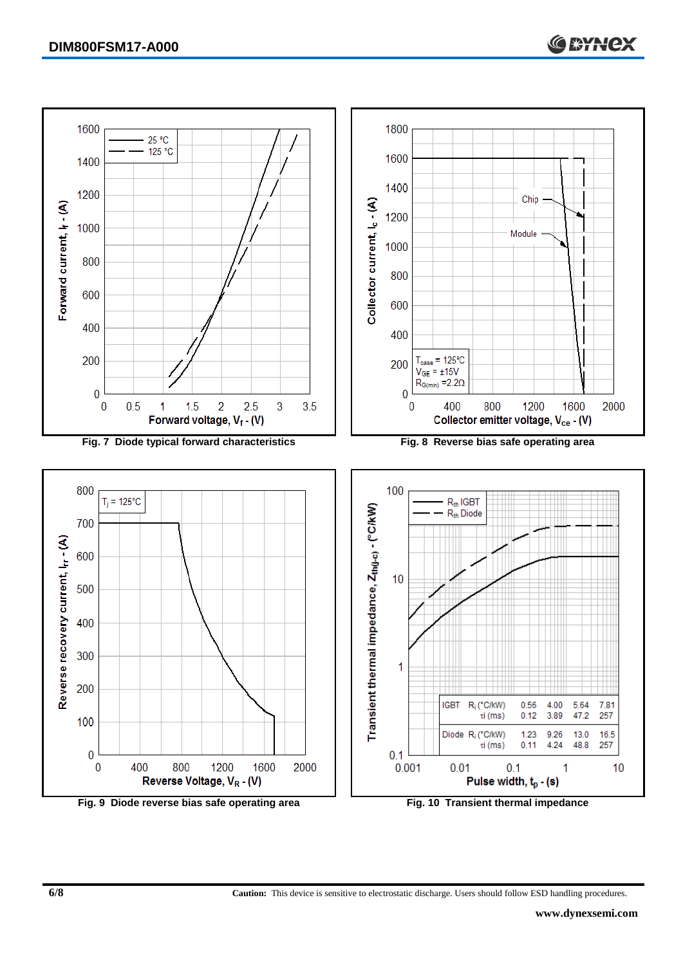

**6/8 Caution:** This device is sensitive to electrostatic discharge. Users should follow ESD handling procedures.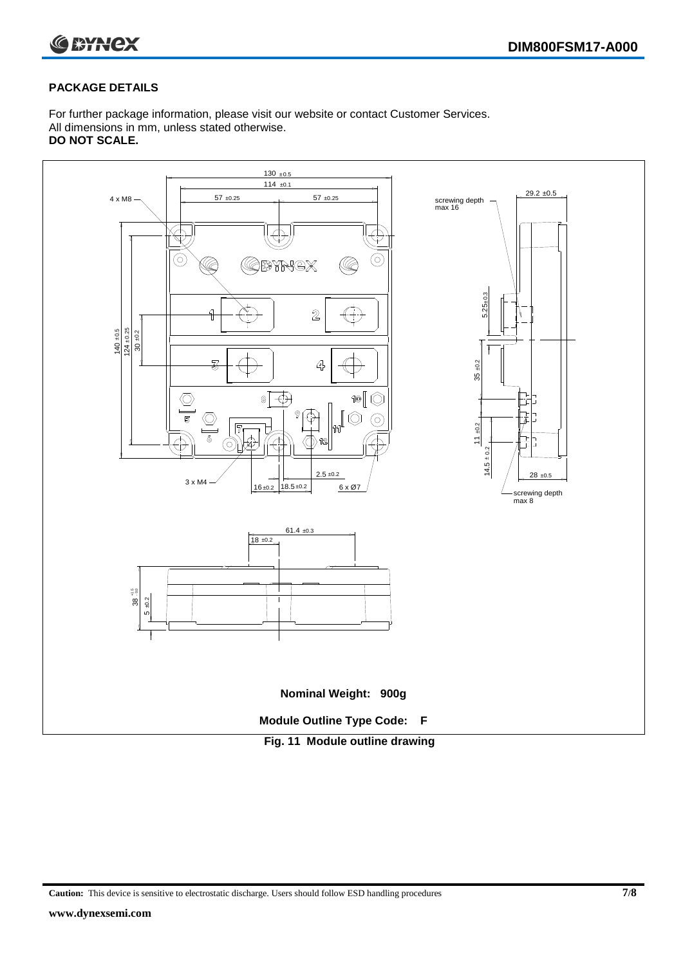



#### **PACKAGE DETAILS**

For further package information, please visit our website or contact Customer Services. All dimensions in mm, unless stated otherwise. **DO NOT SCALE.**



**Caution:** This device is sensitive to electrostatic discharge. Users should follow ESD handling procedures **7/8**